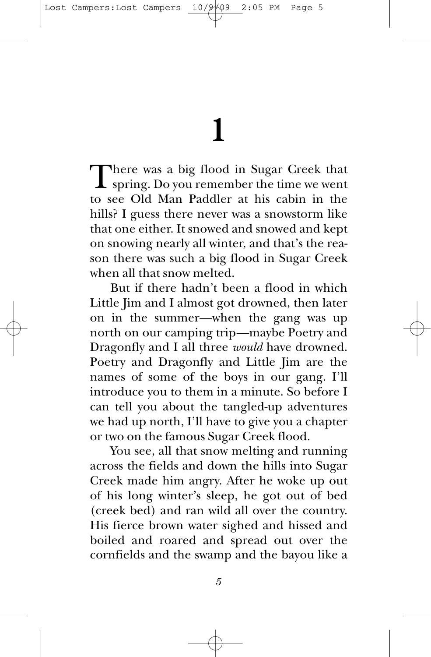## **1**

There was a big flood in Sugar Creek that<br>spring. Do you remember the time we went to see Old Man Paddler at his cabin in the hills? I guess there never was a snowstorm like that one either. It snowed and snowed and kept on snowing nearly all winter, and that's the reason there was such a big flood in Sugar Creek when all that snow melted.

But if there hadn't been a flood in which Little Jim and I almost got drowned, then later on in the summer—when the gang was up north on our camping trip—maybe Poetry and Dragonfly and I all three *would* have drowned. Poetry and Dragonfly and Little Jim are the names of some of the boys in our gang. I'll introduce you to them in a minute. So before I can tell you about the tangled-up adventures we had up north, I'll have to give you a chapter or two on the famous Sugar Creek flood.

You see, all that snow melting and running across the fields and down the hills into Sugar Creek made him angry. After he woke up out of his long winter's sleep, he got out of bed (creek bed) and ran wild all over the country. His fierce brown water sighed and hissed and boiled and roared and spread out over the cornfields and the swamp and the bayou like a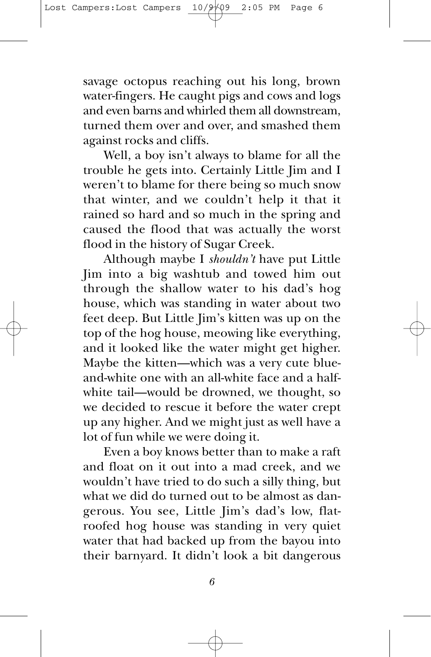savage octopus reaching out his long, brown water-fingers. He caught pigs and cows and logs and even barns and whirled them all downstream, turned them over and over, and smashed them against rocks and cliffs.

Well, a boy isn't always to blame for all the trouble he gets into. Certainly Little Jim and I weren't to blame for there being so much snow that winter, and we couldn't help it that it rained so hard and so much in the spring and caused the flood that was actually the worst flood in the history of Sugar Creek.

Although maybe I *shouldn't* have put Little Jim into a big washtub and towed him out through the shallow water to his dad's hog house, which was standing in water about two feet deep. But Little Jim's kitten was up on the top of the hog house, meowing like everything, and it looked like the water might get higher. Maybe the kitten—which was a very cute blueand-white one with an all-white face and a halfwhite tail—would be drowned, we thought, so we decided to rescue it before the water crept up any higher. And we might just as well have a lot of fun while we were doing it.

Even a boy knows better than to make a raft and float on it out into a mad creek, and we wouldn't have tried to do such a silly thing, but what we did do turned out to be almost as dangerous. You see, Little Jim's dad's low, flatroofed hog house was standing in very quiet water that had backed up from the bayou into their barnyard. It didn't look a bit dangerous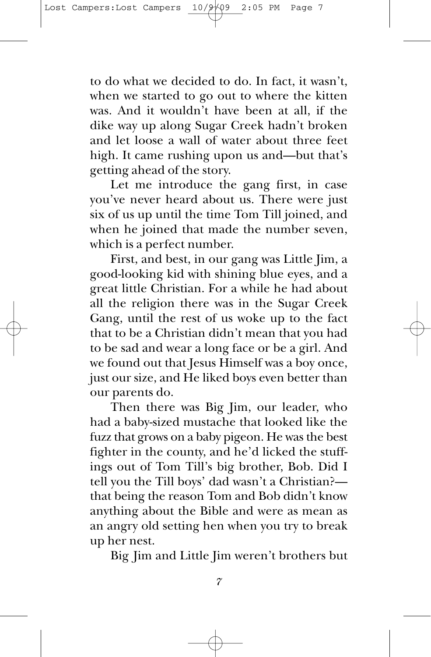to do what we decided to do. In fact, it wasn't, when we started to go out to where the kitten was. And it wouldn't have been at all, if the dike way up along Sugar Creek hadn't broken and let loose a wall of water about three feet high. It came rushing upon us and—but that's getting ahead of the story.

Let me introduce the gang first, in case you've never heard about us. There were just six of us up until the time Tom Till joined, and when he joined that made the number seven, which is a perfect number.

First, and best, in our gang was Little Jim, a good-looking kid with shining blue eyes, and a great little Christian. For a while he had about all the religion there was in the Sugar Creek Gang, until the rest of us woke up to the fact that to be a Christian didn't mean that you had to be sad and wear a long face or be a girl. And we found out that Jesus Himself was a boy once, just our size, and He liked boys even better than our parents do.

Then there was Big Jim, our leader, who had a baby-sized mustache that looked like the fuzz that grows on a baby pigeon. He was the best fighter in the county, and he'd licked the stuffings out of Tom Till's big brother, Bob. Did I tell you the Till boys' dad wasn't a Christian? that being the reason Tom and Bob didn't know anything about the Bible and were as mean as an angry old setting hen when you try to break up her nest.

Big Jim and Little Jim weren't brothers but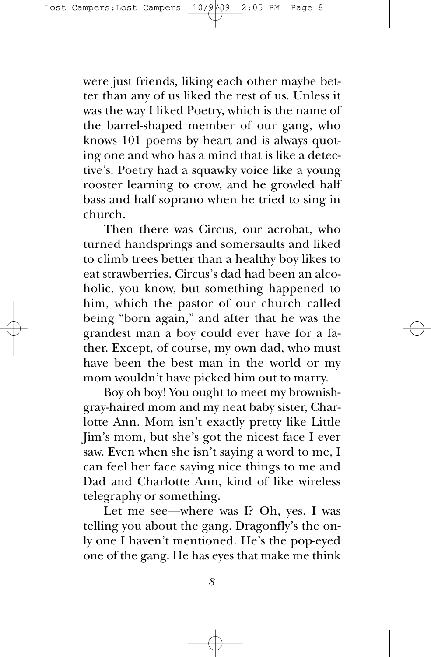were just friends, liking each other maybe better than any of us liked the rest of us. Unless it was the way I liked Poetry, which is the name of the barrel-shaped member of our gang, who knows 101 poems by heart and is always quoting one and who has a mind that is like a detective's. Poetry had a squawky voice like a young rooster learning to crow, and he growled half bass and half soprano when he tried to sing in church.

Then there was Circus, our acrobat, who turned handsprings and somersaults and liked to climb trees better than a healthy boy likes to eat strawberries. Circus's dad had been an alcoholic, you know, but something happened to him, which the pastor of our church called being "born again," and after that he was the grandest man a boy could ever have for a father. Except, of course, my own dad, who must have been the best man in the world or my mom wouldn't have picked him out to marry.

Boy oh boy! You ought to meet my brownishgray-haired mom and my neat baby sister, Charlotte Ann. Mom isn't exactly pretty like Little Jim's mom, but she's got the nicest face I ever saw. Even when she isn't saying a word to me, I can feel her face saying nice things to me and Dad and Charlotte Ann, kind of like wireless telegraphy or something.

Let me see—where was I? Oh, yes. I was telling you about the gang. Dragonfly's the only one I haven't mentioned. He's the pop-eyed one of the gang. He has eyes that make me think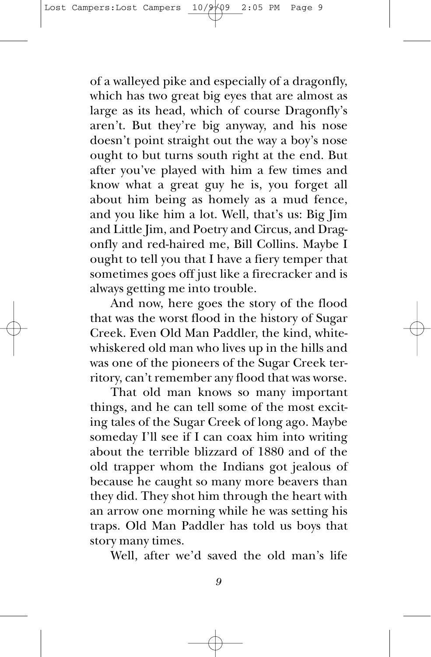of a walleyed pike and especially of a dragonfly, which has two great big eyes that are almost as large as its head, which of course Dragonfly's aren't. But they're big anyway, and his nose doesn't point straight out the way a boy's nose ought to but turns south right at the end. But after you've played with him a few times and know what a great guy he is, you forget all about him being as homely as a mud fence, and you like him a lot. Well, that's us: Big Jim and Little Jim, and Poetry and Circus, and Dragonfly and red-haired me, Bill Collins. Maybe I ought to tell you that I have a fiery temper that sometimes goes off just like a firecracker and is always getting me into trouble.

And now, here goes the story of the flood that was the worst flood in the history of Sugar Creek. Even Old Man Paddler, the kind, whitewhiskered old man who lives up in the hills and was one of the pioneers of the Sugar Creek territory, can't remember any flood that was worse.

That old man knows so many important things, and he can tell some of the most exciting tales of the Sugar Creek of long ago. Maybe someday I'll see if I can coax him into writing about the terrible blizzard of 1880 and of the old trapper whom the Indians got jealous of because he caught so many more beavers than they did. They shot him through the heart with an arrow one morning while he was setting his traps. Old Man Paddler has told us boys that story many times.

Well, after we'd saved the old man's life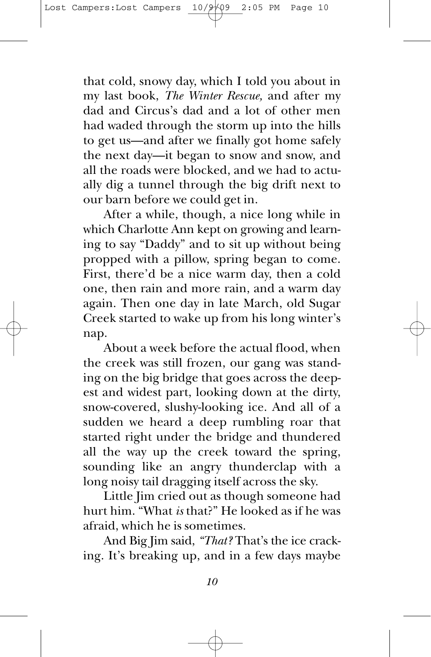that cold, snowy day, which I told you about in my last book, *The Winter Rescue,* and after my dad and Circus's dad and a lot of other men had waded through the storm up into the hills to get us—and after we finally got home safely the next day—it began to snow and snow, and all the roads were blocked, and we had to actually dig a tunnel through the big drift next to our barn before we could get in.

After a while, though, a nice long while in which Charlotte Ann kept on growing and learning to say "Daddy" and to sit up without being propped with a pillow, spring began to come. First, there'd be a nice warm day, then a cold one, then rain and more rain, and a warm day again. Then one day in late March, old Sugar Creek started to wake up from his long winter's nap.

About a week before the actual flood, when the creek was still frozen, our gang was standing on the big bridge that goes across the deepest and widest part, looking down at the dirty, snow-covered, slushy-looking ice. And all of a sudden we heard a deep rumbling roar that started right under the bridge and thundered all the way up the creek toward the spring, sounding like an angry thunderclap with a long noisy tail dragging itself across the sky.

Little Jim cried out as though someone had hurt him. "What *is* that?" He looked as if he was afraid, which he is sometimes.

And Big Jim said, *"That?* That's the ice cracking. It's breaking up, and in a few days maybe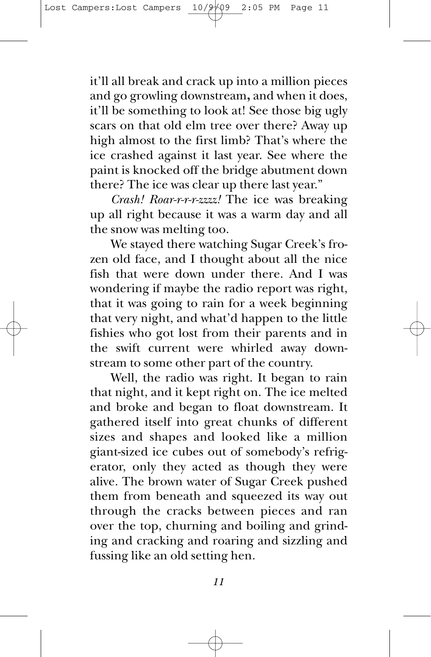it'll all break and crack up into a million pieces and go growling downstream**,** and when it does, it'll be something to look at! See those big ugly scars on that old elm tree over there? Away up high almost to the first limb? That's where the ice crashed against it last year. See where the paint is knocked off the bridge abutment down there? The ice was clear up there last year."

*Crash! Roar-r-r-r-zzzz!* The ice was breaking up all right because it was a warm day and all the snow was melting too.

We stayed there watching Sugar Creek's frozen old face, and I thought about all the nice fish that were down under there. And I was wondering if maybe the radio report was right, that it was going to rain for a week beginning that very night, and what'd happen to the little fishies who got lost from their parents and in the swift current were whirled away downstream to some other part of the country.

Well, the radio was right. It began to rain that night, and it kept right on. The ice melted and broke and began to float downstream. It gathered itself into great chunks of different sizes and shapes and looked like a million giant-sized ice cubes out of somebody's refrigerator, only they acted as though they were alive. The brown water of Sugar Creek pushed them from beneath and squeezed its way out through the cracks between pieces and ran over the top, churning and boiling and grinding and cracking and roaring and sizzling and fussing like an old setting hen.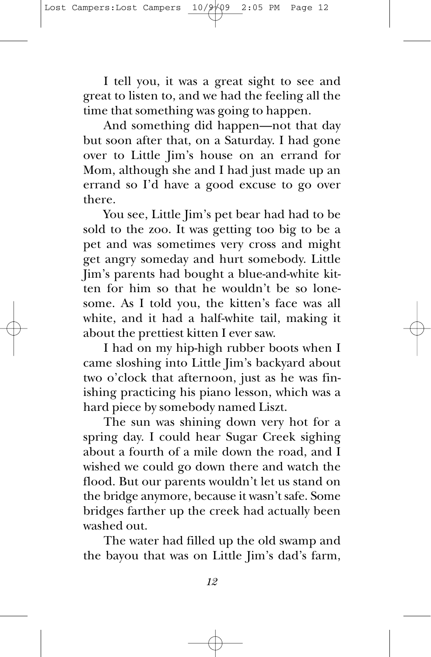I tell you, it was a great sight to see and great to listen to, and we had the feeling all the time that something was going to happen.

And something did happen—not that day but soon after that, on a Saturday. I had gone over to Little Jim's house on an errand for Mom, although she and I had just made up an errand so I'd have a good excuse to go over there.

You see, Little Jim's pet bear had had to be sold to the zoo. It was getting too big to be a pet and was sometimes very cross and might get angry someday and hurt somebody. Little Jim's parents had bought a blue-and-white kitten for him so that he wouldn't be so lonesome. As I told you, the kitten's face was all white, and it had a half-white tail, making it about the prettiest kitten I ever saw.

I had on my hip-high rubber boots when I came sloshing into Little Jim's backyard about two o'clock that afternoon, just as he was finishing practicing his piano lesson, which was a hard piece by somebody named Liszt.

The sun was shining down very hot for a spring day. I could hear Sugar Creek sighing about a fourth of a mile down the road, and I wished we could go down there and watch the flood. But our parents wouldn't let us stand on the bridge anymore, because it wasn't safe. Some bridges farther up the creek had actually been washed out.

The water had filled up the old swamp and the bayou that was on Little Jim's dad's farm,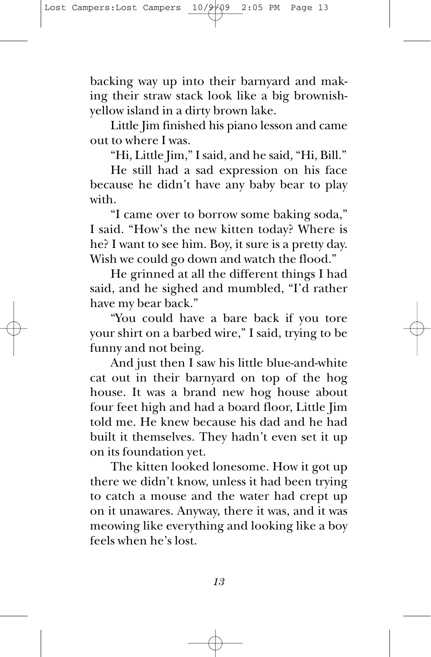backing way up into their barnyard and making their straw stack look like a big brownishyellow island in a dirty brown lake.

Little Jim finished his piano lesson and came out to where I was.

"Hi, Little Jim," I said, and he said, "Hi, Bill."

He still had a sad expression on his face because he didn't have any baby bear to play with.

"I came over to borrow some baking soda," I said. "How's the new kitten today? Where is he? I want to see him. Boy, it sure is a pretty day. Wish we could go down and watch the flood."

He grinned at all the different things I had said, and he sighed and mumbled, "I'd rather have my bear back."

"You could have a bare back if you tore your shirt on a barbed wire," I said, trying to be funny and not being.

And just then I saw his little blue-and-white cat out in their barnyard on top of the hog house. It was a brand new hog house about four feet high and had a board floor, Little Jim told me. He knew because his dad and he had built it themselves. They hadn't even set it up on its foundation yet.

The kitten looked lonesome. How it got up there we didn't know, unless it had been trying to catch a mouse and the water had crept up on it unawares. Anyway, there it was, and it was meowing like everything and looking like a boy feels when he's lost.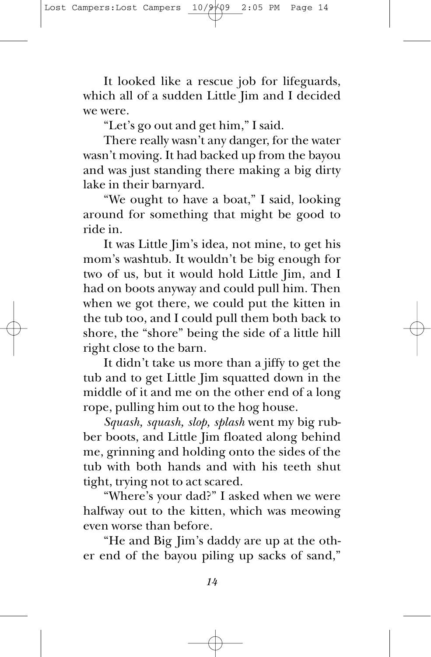It looked like a rescue job for lifeguards, which all of a sudden Little Jim and I decided we were.

"Let's go out and get him," I said.

There really wasn't any danger, for the water wasn't moving. It had backed up from the bayou and was just standing there making a big dirty lake in their barnyard.

"We ought to have a boat," I said, looking around for something that might be good to ride in.

It was Little Jim's idea, not mine, to get his mom's washtub. It wouldn't be big enough for two of us, but it would hold Little Jim, and I had on boots anyway and could pull him. Then when we got there, we could put the kitten in the tub too, and I could pull them both back to shore, the "shore" being the side of a little hill right close to the barn.

It didn't take us more than a jiffy to get the tub and to get Little Jim squatted down in the middle of it and me on the other end of a long rope, pulling him out to the hog house.

*Squash, squash, slop, splash* went my big rubber boots, and Little Jim floated along behind me, grinning and holding onto the sides of the tub with both hands and with his teeth shut tight, trying not to act scared.

"Where's your dad?" I asked when we were halfway out to the kitten, which was meowing even worse than before.

"He and Big Jim's daddy are up at the other end of the bayou piling up sacks of sand,"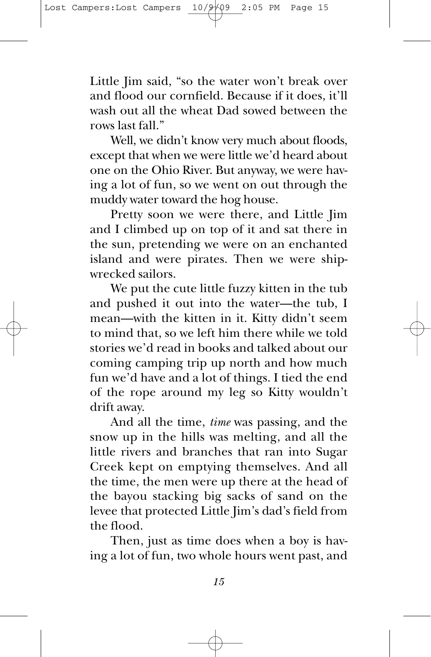Little Jim said, "so the water won't break over and flood our cornfield. Because if it does, it'll wash out all the wheat Dad sowed between the rows last fall."

Well, we didn't know very much about floods, except that when we were little we'd heard about one on the Ohio River. But anyway, we were having a lot of fun, so we went on out through the muddy water toward the hog house.

Pretty soon we were there, and Little Jim and I climbed up on top of it and sat there in the sun, pretending we were on an enchanted island and were pirates. Then we were shipwrecked sailors.

We put the cute little fuzzy kitten in the tub and pushed it out into the water—the tub, I mean—with the kitten in it. Kitty didn't seem to mind that, so we left him there while we told stories we'd read in books and talked about our coming camping trip up north and how much fun we'd have and a lot of things. I tied the end of the rope around my leg so Kitty wouldn't drift away.

And all the time, *time* was passing, and the snow up in the hills was melting, and all the little rivers and branches that ran into Sugar Creek kept on emptying themselves. And all the time, the men were up there at the head of the bayou stacking big sacks of sand on the levee that protected Little Jim's dad's field from the flood.

Then, just as time does when a boy is having a lot of fun, two whole hours went past, and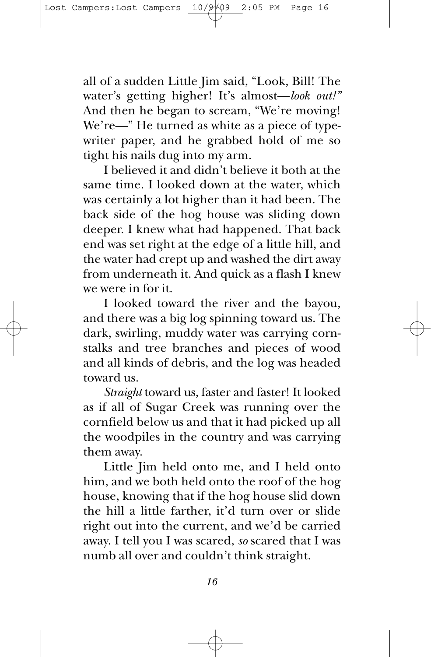all of a sudden Little Jim said, "Look, Bill! The water's getting higher! It's almost—*look out!"* And then he began to scream, "We're moving! We're—" He turned as white as a piece of typewriter paper, and he grabbed hold of me so tight his nails dug into my arm.

I believed it and didn't believe it both at the same time. I looked down at the water, which was certainly a lot higher than it had been. The back side of the hog house was sliding down deeper. I knew what had happened. That back end was set right at the edge of a little hill, and the water had crept up and washed the dirt away from underneath it. And quick as a flash I knew we were in for it.

I looked toward the river and the bayou, and there was a big log spinning toward us. The dark, swirling, muddy water was carrying cornstalks and tree branches and pieces of wood and all kinds of debris, and the log was headed toward us.

*Straight* toward us, faster and faster! It looked as if all of Sugar Creek was running over the cornfield below us and that it had picked up all the woodpiles in the country and was carrying them away.

Little Jim held onto me, and I held onto him, and we both held onto the roof of the hog house, knowing that if the hog house slid down the hill a little farther, it'd turn over or slide right out into the current, and we'd be carried away. I tell you I was scared, *so* scared that I was numb all over and couldn't think straight.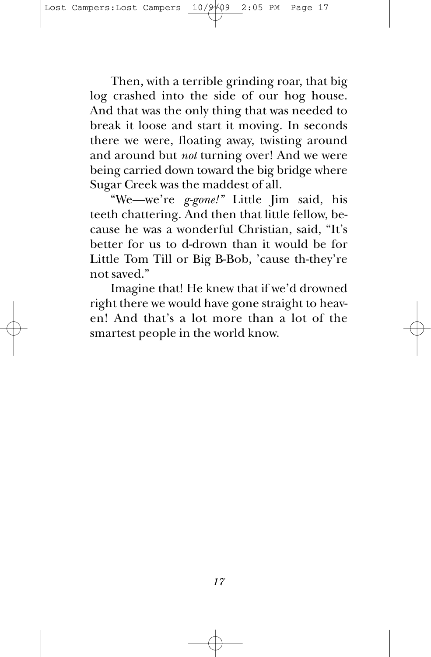Then, with a terrible grinding roar, that big log crashed into the side of our hog house. And that was the only thing that was needed to break it loose and start it moving. In seconds there we were, floating away, twisting around and around but *not* turning over! And we were being carried down toward the big bridge where Sugar Creek was the maddest of all.

"We—we're *g-gone!"* Little Jim said, his teeth chattering. And then that little fellow, because he was a wonderful Christian, said, "It's better for us to d-drown than it would be for Little Tom Till or Big B-Bob, 'cause th-they're not saved."

Imagine that! He knew that if we'd drowned right there we would have gone straight to heaven! And that's a lot more than a lot of the smartest people in the world know.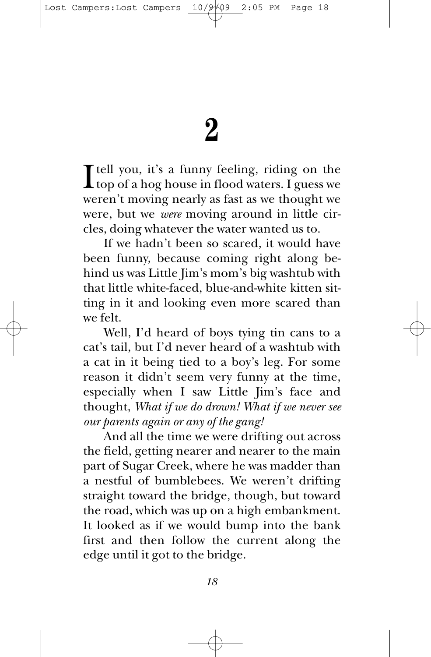I tell you, it's a funny feeling, riding on the<br>top of a hog house in flood waters. I guess we top of a hog house in flood waters. I guess we weren't moving nearly as fast as we thought we were, but we *were* moving around in little circles, doing whatever the water wanted us to.

If we hadn't been so scared, it would have been funny, because coming right along behind us was Little Jim's mom's big washtub with that little white-faced, blue-and-white kitten sitting in it and looking even more scared than we felt.

Well, I'd heard of boys tying tin cans to a cat's tail, but I'd never heard of a washtub with a cat in it being tied to a boy's leg. For some reason it didn't seem very funny at the time, especially when I saw Little Jim's face and thought, *What if we do drown! What if we never see our parents again or any of the gang!*

And all the time we were drifting out across the field, getting nearer and nearer to the main part of Sugar Creek, where he was madder than a nestful of bumblebees. We weren't drifting straight toward the bridge, though, but toward the road, which was up on a high embankment. It looked as if we would bump into the bank first and then follow the current along the edge until it got to the bridge.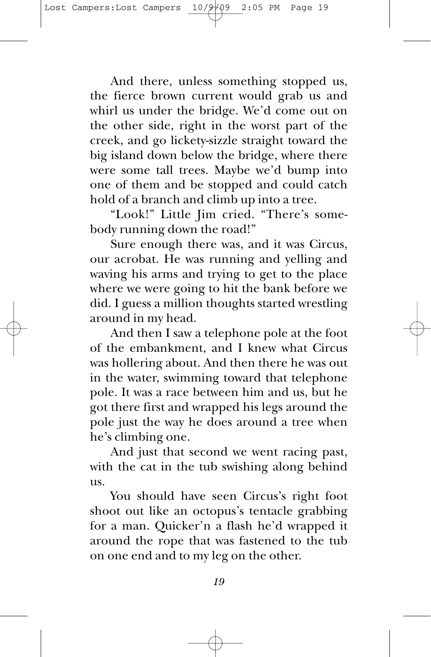And there, unless something stopped us, the fierce brown current would grab us and whirl us under the bridge. We'd come out on the other side, right in the worst part of the creek, and go lickety-sizzle straight toward the big island down below the bridge, where there were some tall trees. Maybe we'd bump into one of them and be stopped and could catch hold of a branch and climb up into a tree.

"Look!" Little Jim cried. "There's somebody running down the road!"

Sure enough there was, and it was Circus, our acrobat. He was running and yelling and waving his arms and trying to get to the place where we were going to hit the bank before we did. I guess a million thoughts started wrestling around in my head.

And then I saw a telephone pole at the foot of the embankment, and I knew what Circus was hollering about. And then there he was out in the water, swimming toward that telephone pole. It was a race between him and us, but he got there first and wrapped his legs around the pole just the way he does around a tree when he's climbing one.

And just that second we went racing past, with the cat in the tub swishing along behind us.

You should have seen Circus's right foot shoot out like an octopus's tentacle grabbing for a man. Quicker'n a flash he'd wrapped it around the rope that was fastened to the tub on one end and to my leg on the other.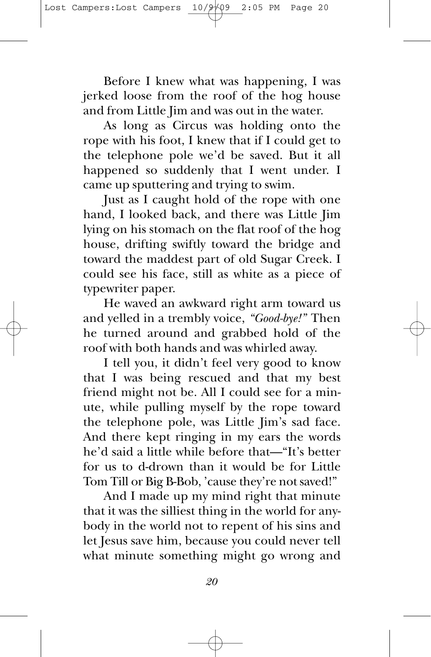Before I knew what was happening, I was jerked loose from the roof of the hog house and from Little Jim and was out in the water.

As long as Circus was holding onto the rope with his foot, I knew that if I could get to the telephone pole we'd be saved. But it all happened so suddenly that I went under. I came up sputtering and trying to swim.

Just as I caught hold of the rope with one hand, I looked back, and there was Little Jim lying on his stomach on the flat roof of the hog house, drifting swiftly toward the bridge and toward the maddest part of old Sugar Creek. I could see his face, still as white as a piece of typewriter paper.

He waved an awkward right arm toward us and yelled in a trembly voice, *"Good-bye!"* Then he turned around and grabbed hold of the roof with both hands and was whirled away.

I tell you, it didn't feel very good to know that I was being rescued and that my best friend might not be. All I could see for a minute, while pulling myself by the rope toward the telephone pole, was Little Jim's sad face. And there kept ringing in my ears the words he'd said a little while before that—"It's better for us to d-drown than it would be for Little Tom Till or Big B-Bob, 'cause they're not saved!"

And I made up my mind right that minute that it was the silliest thing in the world for anybody in the world not to repent of his sins and let Jesus save him, because you could never tell what minute something might go wrong and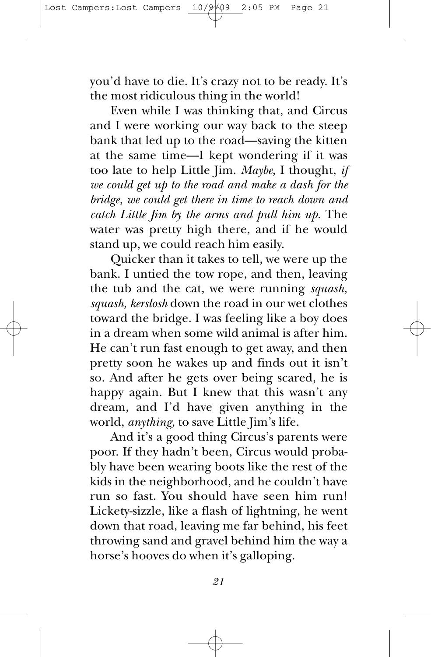you'd have to die. It's crazy not to be ready. It's the most ridiculous thing in the world!

Even while I was thinking that, and Circus and I were working our way back to the steep bank that led up to the road—saving the kitten at the same time—I kept wondering if it was too late to help Little Jim. *Maybe,* I thought, *if we could get up to the road and make a dash for the bridge, we could get there in time to reach down and catch Little Jim by the arms and pull him up.* The water was pretty high there, and if he would stand up, we could reach him easily.

Quicker than it takes to tell, we were up the bank. I untied the tow rope, and then, leaving the tub and the cat, we were running *squash, squash, kerslosh* down the road in our wet clothes toward the bridge. I was feeling like a boy does in a dream when some wild animal is after him. He can't run fast enough to get away, and then pretty soon he wakes up and finds out it isn't so. And after he gets over being scared, he is happy again. But I knew that this wasn't any dream, and I'd have given anything in the world, *anything,* to save Little Jim's life.

And it's a good thing Circus's parents were poor. If they hadn't been, Circus would probably have been wearing boots like the rest of the kids in the neighborhood, and he couldn't have run so fast. You should have seen him run! Lickety-sizzle, like a flash of lightning, he went down that road, leaving me far behind, his feet throwing sand and gravel behind him the way a horse's hooves do when it's galloping.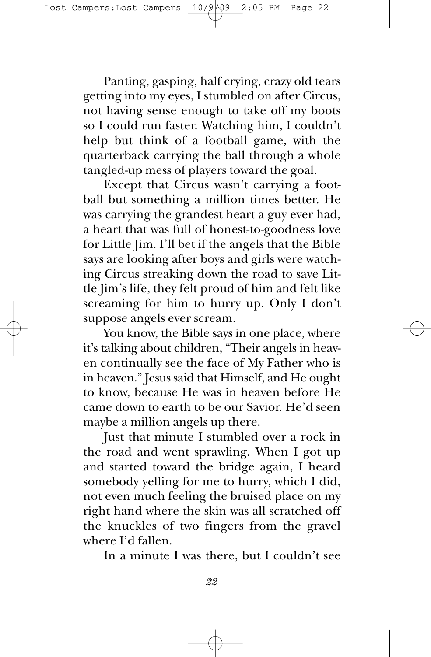Panting, gasping, half crying, crazy old tears getting into my eyes, I stumbled on after Circus, not having sense enough to take off my boots so I could run faster. Watching him, I couldn't help but think of a football game, with the quarterback carrying the ball through a whole tangled-up mess of players toward the goal.

Except that Circus wasn't carrying a football but something a million times better. He was carrying the grandest heart a guy ever had, a heart that was full of honest-to-goodness love for Little Jim. I'll bet if the angels that the Bible says are looking after boys and girls were watching Circus streaking down the road to save Little Jim's life, they felt proud of him and felt like screaming for him to hurry up. Only I don't suppose angels ever scream.

You know, the Bible says in one place, where it's talking about children, "Their angels in heaven continually see the face of My Father who is in heaven." Jesus said that Himself, and He ought to know, because He was in heaven before He came down to earth to be our Savior. He'd seen maybe a million angels up there.

Just that minute I stumbled over a rock in the road and went sprawling. When I got up and started toward the bridge again, I heard somebody yelling for me to hurry, which I did, not even much feeling the bruised place on my right hand where the skin was all scratched off the knuckles of two fingers from the gravel where I'd fallen.

In a minute I was there, but I couldn't see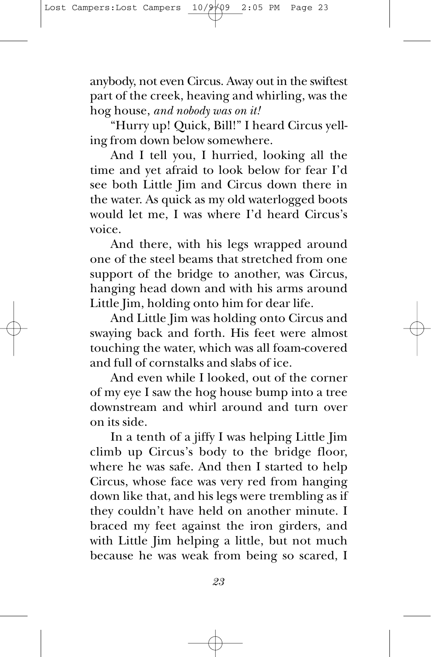anybody, not even Circus. Away out in the swiftest part of the creek, heaving and whirling, was the hog house, *and nobody was on it!*

"Hurry up! Quick, Bill!" I heard Circus yelling from down below somewhere.

And I tell you, I hurried, looking all the time and yet afraid to look below for fear I'd see both Little Jim and Circus down there in the water. As quick as my old waterlogged boots would let me, I was where I'd heard Circus's voice.

And there, with his legs wrapped around one of the steel beams that stretched from one support of the bridge to another, was Circus, hanging head down and with his arms around Little Jim, holding onto him for dear life.

And Little Jim was holding onto Circus and swaying back and forth. His feet were almost touching the water, which was all foam-covered and full of cornstalks and slabs of ice.

And even while I looked, out of the corner of my eye I saw the hog house bump into a tree downstream and whirl around and turn over on its side.

In a tenth of a jiffy I was helping Little Jim climb up Circus's body to the bridge floor, where he was safe. And then I started to help Circus, whose face was very red from hanging down like that, and his legs were trembling as if they couldn't have held on another minute. I braced my feet against the iron girders, and with Little Jim helping a little, but not much because he was weak from being so scared, I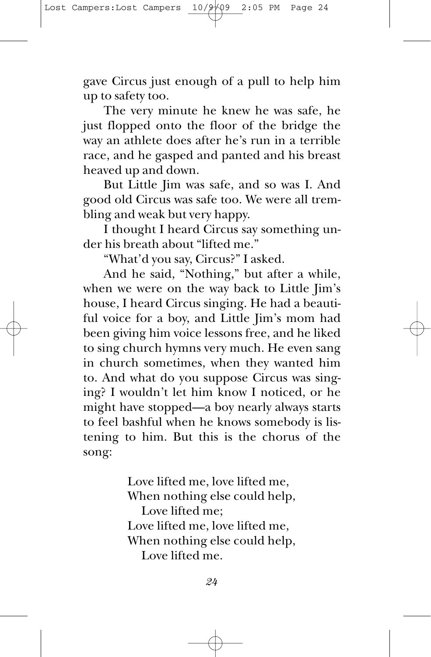gave Circus just enough of a pull to help him up to safety too.

The very minute he knew he was safe, he just flopped onto the floor of the bridge the way an athlete does after he's run in a terrible race, and he gasped and panted and his breast heaved up and down.

But Little Jim was safe, and so was I. And good old Circus was safe too. We were all trembling and weak but very happy.

I thought I heard Circus say something under his breath about "lifted me."

"What'd you say, Circus?" I asked.

And he said, "Nothing," but after a while, when we were on the way back to Little Jim's house, I heard Circus singing. He had a beautiful voice for a boy, and Little Jim's mom had been giving him voice lessons free, and he liked to sing church hymns very much. He even sang in church sometimes, when they wanted him to. And what do you suppose Circus was singing? I wouldn't let him know I noticed, or he might have stopped—a boy nearly always starts to feel bashful when he knows somebody is listening to him. But this is the chorus of the song:

> Love lifted me, love lifted me, When nothing else could help, Love lifted me; Love lifted me, love lifted me, When nothing else could help, Love lifted me.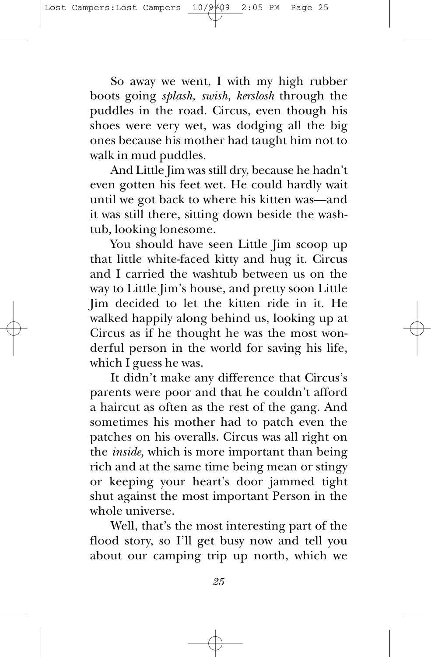So away we went, I with my high rubber boots going *splash, swish, kerslosh* through the puddles in the road. Circus, even though his shoes were very wet, was dodging all the big ones because his mother had taught him not to walk in mud puddles.

And Little Jim was still dry, because he hadn't even gotten his feet wet. He could hardly wait until we got back to where his kitten was—and it was still there, sitting down beside the washtub, looking lonesome.

You should have seen Little Jim scoop up that little white-faced kitty and hug it. Circus and I carried the washtub between us on the way to Little Jim's house, and pretty soon Little Jim decided to let the kitten ride in it. He walked happily along behind us, looking up at Circus as if he thought he was the most wonderful person in the world for saving his life, which I guess he was.

It didn't make any difference that Circus's parents were poor and that he couldn't afford a haircut as often as the rest of the gang. And sometimes his mother had to patch even the patches on his overalls. Circus was all right on the *inside,* which is more important than being rich and at the same time being mean or stingy or keeping your heart's door jammed tight shut against the most important Person in the whole universe.

Well, that's the most interesting part of the flood story, so I'll get busy now and tell you about our camping trip up north, which we